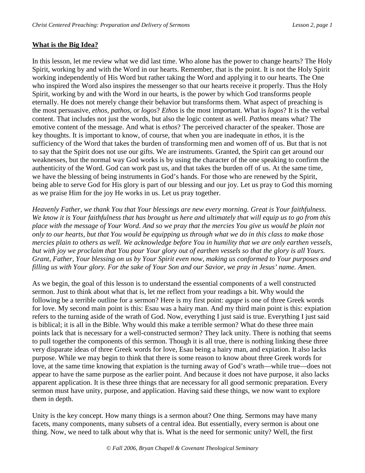# **What is the Big Idea?**

In this lesson, let me review what we did last time. Who alone has the power to change hearts? The Holy Spirit, working by and with the Word in our hearts. Remember, that is the point. It is not the Holy Spirit working independently of His Word but rather taking the Word and applying it to our hearts. The One who inspired the Word also inspires the messenger so that our hearts receive it properly. Thus the Holy Spirit, working by and with the Word in our hearts, is the power by which God transforms people eternally. He does not merely change their behavior but transforms them. What aspect of preaching is the most persuasive, *ethos*, *pathos*, or *logos*? *Ethos* is the most important. What is *logos*? It is the verbal content. That includes not just the words, but also the logic content as well. *Pathos* means what? The emotive content of the message. And what is *ethos*? The perceived character of the speaker. Those are key thoughts. It is important to know, of course, that when you are inadequate in *ethos*, it is the sufficiency of the Word that takes the burden of transforming men and women off of us. But that is not to say that the Spirit does not use our gifts. We are instruments. Granted, the Spirit can get around our weaknesses, but the normal way God works is by using the character of the one speaking to confirm the authenticity of the Word. God can work past us, and that takes the burden off of us. At the same time, we have the blessing of being instruments in God's hands. For those who are renewed by the Spirit, being able to serve God for His glory is part of our blessing and our joy. Let us pray to God this morning as we praise Him for the joy He works in us. Let us pray together.

*Heavenly Father, we thank You that Your blessings are new every morning. Great is Your faithfulness. We know it is Your faithfulness that has brought us here and ultimately that will equip us to go from this place with the message of Your Word. And so we pray that the mercies You give us would be plain not only to our hearts, but that You would be equipping us through what we do in this class to make those mercies plain to others as well. We acknowledge before You in humility that we are only earthen vessels, but with joy we proclaim that You pour Your glory out of earthen vessels so that the glory is all Yours. Grant, Father, Your blessing on us by Your Spirit even now, making us conformed to Your purposes and filling us with Your glory. For the sake of Your Son and our Savior, we pray in Jesus' name. Amen.* 

As we begin, the goal of this lesson is to understand the essential components of a well constructed sermon. Just to think about what that is, let me reflect from your readings a bit. Why would the following be a terrible outline for a sermon? Here is my first point: *agape* is one of three Greek words for love. My second main point is this: Esau was a hairy man. And my third main point is this: expiation refers to the turning aside of the wrath of God. Now, everything I just said is true. Everything I just said is biblical; it is all in the Bible. Why would this make a terrible sermon? What do these three main points lack that is necessary for a well-constructed sermon? They lack unity. There is nothing that seems to pull together the components of this sermon. Though it is all true, there is nothing linking these three very disparate ideas of three Greek words for love, Esau being a hairy man, and expiation. It also lacks purpose. While we may begin to think that there is some reason to know about three Greek words for love, at the same time knowing that expiation is the turning away of God's wrath—while true—does not appear to have the same purpose as the earlier point. And because it does not have purpose, it also lacks apparent application. It is these three things that are necessary for all good sermonic preparation. Every sermon must have unity, purpose, and application. Having said these things, we now want to explore them in depth.

Unity is the key concept. How many things is a sermon about? One thing. Sermons may have many facets, many components, many subsets of a central idea. But essentially, every sermon is about one thing. Now, we need to talk about why that is. What is the need for sermonic unity? Well, the first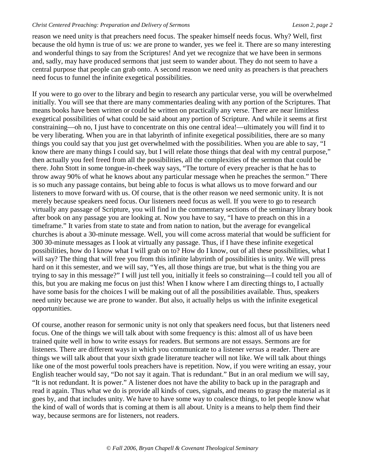reason we need unity is that preachers need focus. The speaker himself needs focus. Why? Well, first because the old hymn is true of us: we are prone to wander, yes we feel it. There are so many interesting and wonderful things to say from the Scriptures! And yet we recognize that we have been in sermons and, sadly, may have produced sermons that just seem to wander about. They do not seem to have a central purpose that people can grab onto. A second reason we need unity as preachers is that preachers need focus to funnel the infinite exegetical possibilities.

If you were to go over to the library and begin to research any particular verse, you will be overwhelmed initially. You will see that there are many commentaries dealing with any portion of the Scriptures. That means books have been written or could be written on practically any verse. There are near limitless exegetical possibilities of what could be said about any portion of Scripture. And while it seems at first constraining—oh no, I just have to concentrate on this one central idea!—ultimately you will find it to be very liberating. When you are in that labyrinth of infinite exegetical possibilities, there are so many things you could say that you just get overwhelmed with the possibilities. When you are able to say, "I know there are many things I could say, but I will relate those things that deal with my central purpose," then actually you feel freed from all the possibilities, all the complexities of the sermon that could be there. John Stott in some tongue-in-cheek way says, "The torture of every preacher is that he has to throw away 90% of what he knows about any particular message when he preaches the sermon." There is so much any passage contains, but being able to focus is what allows us to move forward and our listeners to move forward with us. Of course, that is the other reason we need sermonic unity. It is not merely because speakers need focus. Our listeners need focus as well. If you were to go to research virtually any passage of Scripture, you will find in the commentary sections of the seminary library book after book on any passage you are looking at. Now you have to say, "I have to preach on this in a timeframe." It varies from state to state and from nation to nation, but the average for evangelical churches is about a 30-minute message. Well, you will come across material that would be sufficient for 300 30-minute messages as I look at virtually any passage. Thus, if I have these infinite exegetical possibilities, how do I know what I will grab on to? How do I know, out of all these possibilities, what I will say? The thing that will free you from this infinite labyrinth of possibilities is unity. We will press hard on it this semester, and we will say, "Yes, all those things are true, but what is the thing you are trying to say in this message?" I will just tell you, initially it feels so constraining—I could tell you all of this, but you are making me focus on just this! When I know where I am directing things to, I actually have some basis for the choices I will be making out of all the possibilities available. Thus, speakers need unity because we are prone to wander. But also, it actually helps us with the infinite exegetical opportunities.

Of course, another reason for sermonic unity is not only that speakers need focus, but that listeners need focus. One of the things we will talk about with some frequency is this: almost all of us have been trained quite well in how to write essays for readers. But sermons are not essays. Sermons are for listeners. There are different ways in which you communicate to a listener *versus* a reader. There are things we will talk about that your sixth grade literature teacher will not like. We will talk about things like one of the most powerful tools preachers have is repetition. Now, if you were writing an essay, your English teacher would say, "Do not say it again. That is redundant." But in an oral medium we will say, "It is not redundant. It is power." A listener does not have the ability to back up in the paragraph and read it again. Thus what we do is provide all kinds of cues, signals, and means to grasp the material as it goes by, and that includes unity. We have to have some way to coalesce things, to let people know what the kind of wall of words that is coming at them is all about. Unity is a means to help them find their way, because sermons are for listeners, not readers.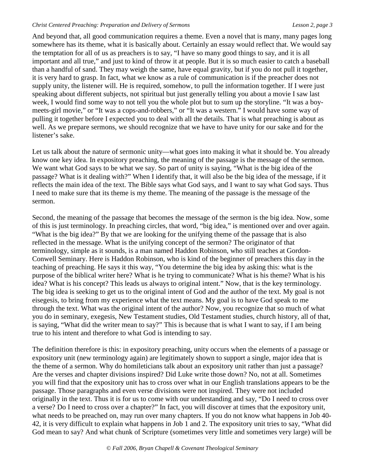And beyond that, all good communication requires a theme. Even a novel that is many, many pages long somewhere has its theme, what it is basically about. Certainly an essay would reflect that. We would say the temptation for all of us as preachers is to say, "I have so many good things to say, and it is all important and all true," and just to kind of throw it at people. But it is so much easier to catch a baseball than a handful of sand. They may weigh the same, have equal gravity, but if you do not pull it together, it is very hard to grasp. In fact, what we know as a rule of communication is if the preacher does not supply unity, the listener will. He is required, somehow, to pull the information together. If I were just speaking about different subjects, not spiritual but just generally telling you about a movie I saw last week, I would find some way to not tell you the whole plot but to sum up the storyline. "It was a boymeets-girl movie," or "It was a cops-and-robbers," or "It was a western." I would have some way of pulling it together before I expected you to deal with all the details. That is what preaching is about as well. As we prepare sermons, we should recognize that we have to have unity for our sake and for the listener's sake.

Let us talk about the nature of sermonic unity—what goes into making it what it should be. You already know one key idea. In expository preaching, the meaning of the passage is the message of the sermon. We want what God says to be what we say. So part of unity is saying, "What is the big idea of the passage? What is it dealing with?" When I identify that, it will also be the big idea of the message, if it reflects the main idea of the text. The Bible says what God says, and I want to say what God says. Thus I need to make sure that its theme is my theme. The meaning of the passage is the message of the sermon.

Second, the meaning of the passage that becomes the message of the sermon is the big idea. Now, some of this is just terminology. In preaching circles, that word, "big idea," is mentioned over and over again. "What is the big idea?" By that we are looking for the unifying theme of the passage that is also reflected in the message. What is the unifying concept of the sermon? The originator of that terminology, simple as it sounds, is a man named Haddon Robinson, who still teaches at Gordon-Conwell Seminary. Here is Haddon Robinson, who is kind of the beginner of preachers this day in the teaching of preaching. He says it this way, "You determine the big idea by asking this: what is the purpose of the biblical writer here? What is he trying to communicate? What is his theme? What is his idea? What is his concept? This leads us always to original intent." Now, that is the key terminology. The big idea is seeking to get us to the original intent of God and the author of the text. My goal is not eisegesis, to bring from my experience what the text means. My goal is to have God speak to me through the text. What was the original intent of the author? Now, you recognize that so much of what you do in seminary, exegesis, New Testament studies, Old Testament studies, church history, all of that, is saying, "What did the writer mean to say?" This is because that is what I want to say, if I am being true to his intent and therefore to what God is intending to say.

The definition therefore is this: in expository preaching, unity occurs when the elements of a passage or expository unit (new terminology again) are legitimately shown to support a single, major idea that is the theme of a sermon. Why do homileticians talk about an expository unit rather than just a passage? Are the verses and chapter divisions inspired? Did Luke write those down? No, not at all. Sometimes you will find that the expository unit has to cross over what in our English translations appears to be the passage. Those paragraphs and even verse divisions were not inspired. They were not included originally in the text. Thus it is for us to come with our understanding and say, "Do I need to cross over a verse? Do I need to cross over a chapter?" In fact, you will discover at times that the expository unit, what needs to be preached on, may run over many chapters. If you do not know what happens in Job 40- 42, it is very difficult to explain what happens in Job 1 and 2. The expository unit tries to say, "What did God mean to say? And what chunk of Scripture (sometimes very little and sometimes very large) will be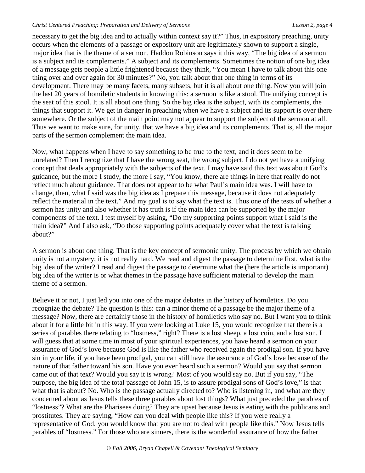necessary to get the big idea and to actually within context say it?" Thus, in expository preaching, unity occurs when the elements of a passage or expository unit are legitimately shown to support a single, major idea that is the theme of a sermon. Haddon Robinson says it this way, "The big idea of a sermon is a subject and its complements." A subject and its complements. Sometimes the notion of one big idea of a message gets people a little frightened because they think, "You mean I have to talk about this one thing over and over again for 30 minutes?" No, you talk about that one thing in terms of its development. There may be many facets, many subsets, but it is all about one thing. Now you will join the last 20 years of homiletic students in knowing this: a sermon is like a stool. The unifying concept is the seat of this stool. It is all about one thing. So the big idea is the subject, with its complements, the things that support it. We get in danger in preaching when we have a subject and its support is over there somewhere. Or the subject of the main point may not appear to support the subject of the sermon at all. Thus we want to make sure, for unity, that we have a big idea and its complements. That is, all the major parts of the sermon complement the main idea.

Now, what happens when I have to say something to be true to the text, and it does seem to be unrelated? Then I recognize that I have the wrong seat, the wrong subject. I do not yet have a unifying concept that deals appropriately with the subjects of the text. I may have said this text was about God's guidance, but the more I study, the more I say, "You know, there are things in here that really do not reflect much about guidance. That does not appear to be what Paul's main idea was. I will have to change, then, what I said was the big idea as I prepare this message, because it does not adequately reflect the material in the text." And my goal is to say what the text is. Thus one of the tests of whether a sermon has unity and also whether it has truth is if the main idea can be supported by the major components of the text. I test myself by asking, "Do my supporting points support what I said is the main idea?" And I also ask, "Do those supporting points adequately cover what the text is talking about?"

A sermon is about one thing. That is the key concept of sermonic unity. The process by which we obtain unity is not a mystery; it is not really hard. We read and digest the passage to determine first, what is the big idea of the writer? I read and digest the passage to determine what the (here the article is important) big idea of the writer is or what themes in the passage have sufficient material to develop the main theme of a sermon.

Believe it or not, I just led you into one of the major debates in the history of homiletics. Do you recognize the debate? The question is this: can a minor theme of a passage be the major theme of a message? Now, there are certainly those in the history of homiletics who say no. But I want you to think about it for a little bit in this way. If you were looking at Luke 15, you would recognize that there is a series of parables there relating to "lostness," right? There is a lost sheep, a lost coin, and a lost son. I will guess that at some time in most of your spiritual experiences, you have heard a sermon on your assurance of God's love because God is like the father who received again the prodigal son. If you have sin in your life, if you have been prodigal, you can still have the assurance of God's love because of the nature of that father toward his son. Have you ever heard such a sermon? Would you say that sermon came out of that text? Would you say it is wrong? Most of you would say no. But if you say, "The purpose, the big idea of the total passage of John 15, is to assure prodigal sons of God's love," is that what that is about? No. Who is the passage actually directed to? Who is listening in, and what are they concerned about as Jesus tells these three parables about lost things? What just preceded the parables of "lostness"? What are the Pharisees doing? They are upset because Jesus is eating with the publicans and prostitutes. They are saying, "How can you deal with people like this? If you were really a representative of God, you would know that you are not to deal with people like this." Now Jesus tells parables of "lostness." For those who are sinners, there is the wonderful assurance of how the father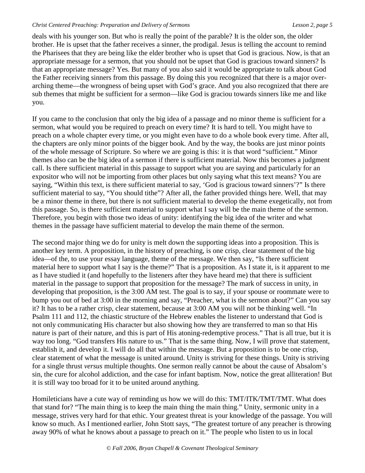deals with his younger son. But who is really the point of the parable? It is the older son, the older brother. He is upset that the father receives a sinner, the prodigal. Jesus is telling the account to remind the Pharisees that they are being like the elder brother who is upset that God is gracious. Now, is that an appropriate message for a sermon, that you should not be upset that God is gracious toward sinners? Is that an appropriate message? Yes. But many of you also said it would be appropriate to talk about God the Father receiving sinners from this passage. By doing this you recognized that there is a major overarching theme—the wrongness of being upset with God's grace. And you also recognized that there are sub themes that might be sufficient for a sermon—like God is graciou towards sinners like me and like you.

If you came to the conclusion that only the big idea of a passage and no minor theme is sufficient for a sermon, what would you be required to preach on every time? It is hard to tell. You might have to preach on a whole chapter every time, or you might even have to do a whole book every time. After all, the chapters are only minor points of the bigger book. And by the way, the books are just minor points of the whole message of Scripture. So where we are going is this: it is that word "sufficient." Minor themes also can be the big idea of a sermon if there is sufficient material. Now this becomes a judgment call. Is there sufficient material in this passage to support what you are saying and particularly for an expositor who will not be importing from other places but only saying what this text means? You are saying, "Within this text, is there sufficient material to say, 'God is gracious toward sinners'?" Is there sufficient material to say, "You should tithe"? After all, the father provided things here. Well, that may be a minor theme in there, but there is not sufficient material to develop the theme exegetically, not from this passage. So, is there sufficient material to support what I say will be the main theme of the sermon. Therefore, you begin with those two ideas of unity: identifying the big idea of the writer and what themes in the passage have sufficient material to develop the main theme of the sermon.

The second major thing we do for unity is melt down the supporting ideas into a proposition. This is another key term. A proposition, in the history of preaching, is one crisp, clear statement of the big idea—of the, to use your essay language, theme of the message. We then say, "Is there sufficient material here to support what I say is the theme?" That is a proposition. As I state it, is it apparent to me as I have studied it (and hopefully to the listeners after they have heard me) that there is sufficient material in the passage to support that proposition for the message? The mark of success in unity, in developing that proposition, is the 3:00 AM test. The goal is to say, if your spouse or roommate were to bump you out of bed at 3:00 in the morning and say, "Preacher, what is the sermon about?" Can you say it? It has to be a rather crisp, clear statement, because at 3:00 AM you will not be thinking well. "In Psalm 111 and 112, the chiastic structure of the Hebrew enables the listener to understand that God is not only communicating His character but also showing how they are transferred to man so that His nature is part of their nature, and this is part of His atoning-redemptive process." That is all true, but it is way too long. "God transfers His nature to us." That is the same thing. Now, I will prove that statement, establish it, and develop it. I will do all that within the message. But a proposition is to be one crisp, clear statement of what the message is united around. Unity is striving for these things. Unity is striving for a single thrust *versus* multiple thoughts. One sermon really cannot be about the cause of Absalom's sin, the cure for alcohol addiction, and the case for infant baptism. Now, notice the great alliteration! But it is still way too broad for it to be united around anything.

Homileticians have a cute way of reminding us how we will do this: TMT/ITK/TMT/TMT. What does that stand for? "The main thing is to keep the main thing the main thing." Unity, sermonic unity in a message, strives very hard for that ethic. Your greatest threat is your knowledge of the passage. You will know so much. As I mentioned earlier, John Stott says, "The greatest torture of any preacher is throwing away 90% of what he knows about a passage to preach on it." The people who listen to us in local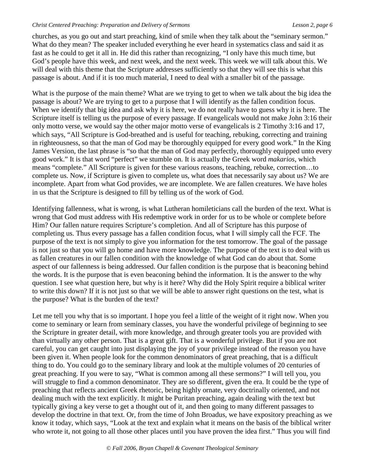churches, as you go out and start preaching, kind of smile when they talk about the "seminary sermon." What do they mean? The speaker included everything he ever heard in systematics class and said it as fast as he could to get it all in. He did this rather than recognizing, "I only have this much time, but God's people have this week, and next week, and the next week. This week we will talk about this. We will deal with this theme that the Scripture addresses sufficiently so that they will see this is what this passage is about. And if it is too much material, I need to deal with a smaller bit of the passage.

What is the purpose of the main theme? What are we trying to get to when we talk about the big idea the passage is about? We are trying to get to a purpose that I will identify as the fallen condition focus. When we identify that big idea and ask why it is here, we do not really have to guess why it is here. The Scripture itself is telling us the purpose of every passage. If evangelicals would not make John 3:16 their only motto verse, we would say the other major motto verse of evangelicals is 2 Timothy 3:16 and 17, which says, "All Scripture is God-breathed and is useful for teaching, rebuking, correcting and training in righteousness, so that the man of God may be thoroughly equipped for every good work." In the King James Version, the last phrase is "so that the man of God may perfectly, thoroughly equipped unto every good work." It is that word "perfect" we stumble on. It is actually the Greek word *makarios*, which means "complete." All Scripture is given for these various reasons, teaching, rebuke, correction…to complete us. Now, if Scripture is given to complete us, what does that necessarily say about us? We are incomplete. Apart from what God provides, we are incomplete. We are fallen creatures. We have holes in us that the Scripture is designed to fill by telling us of the work of God.

Identifying fallenness, what is wrong, is what Lutheran homileticians call the burden of the text. What is wrong that God must address with His redemptive work in order for us to be whole or complete before Him? Our fallen nature requires Scripture's completion. And all of Scripture has this purpose of completing us. Thus every passage has a fallen condition focus, what I will simply call the FCF. The purpose of the text is not simply to give you information for the test tomorrow. The goal of the passage is not just so that you will go home and have more knowledge. The purpose of the text is to deal with us as fallen creatures in our fallen condition with the knowledge of what God can do about that. Some aspect of our fallenness is being addressed. Our fallen condition is the purpose that is beaconing behind the words. It is the purpose that is even beaconing behind the information. It is the answer to the why question. I see what question here, but why is it here? Why did the Holy Spirit require a biblical writer to write this down? If it is not just so that we will be able to answer right questions on the test, what is the purpose? What is the burden of the text?

Let me tell you why that is so important. I hope you feel a little of the weight of it right now. When you come to seminary or learn from seminary classes, you have the wonderful privilege of beginning to see the Scripture in greater detail, with more knowledge, and through greater tools you are provided with than virtually any other person. That is a great gift. That is a wonderful privilege. But if you are not careful, you can get caught into just displaying the joy of your privilege instead of the reason you have been given it. When people look for the common denominators of great preaching, that is a difficult thing to do. You could go to the seminary library and look at the multiple volumes of 20 centuries of great preaching. If you were to say, "What is common among all these sermons?" I will tell you, you will struggle to find a common denominator. They are so different, given the era. It could be the type of preaching that reflects ancient Greek rhetoric, being highly ornate, very doctrinally oriented, and not dealing much with the text explicitly. It might be Puritan preaching, again dealing with the text but typically giving a key verse to get a thought out of it, and then going to many different passages to develop the doctrine in that text. Or, from the time of John Broadus, we have expository preaching as we know it today, which says, "Look at the text and explain what it means on the basis of the biblical writer who wrote it, not going to all those other places until you have proven the idea first." Thus you will find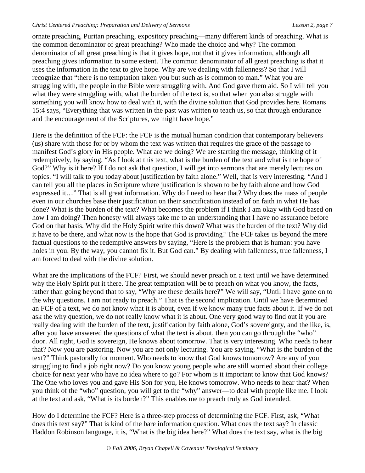ornate preaching, Puritan preaching, expository preaching—many different kinds of preaching. What is the common denominator of great preaching? Who made the choice and why? The common denominator of all great preaching is that it gives hope, not that it gives information, although all preaching gives information to some extent. The common denominator of all great preaching is that it uses the information in the text to give hope. Why are we dealing with fallenness? So that I will recognize that "there is no temptation taken you but such as is common to man." What you are struggling with, the people in the Bible were struggling with. And God gave them aid. So I will tell you what they were struggling with, what the burden of the text is, so that when you also struggle with something you will know how to deal with it, with the divine solution that God provides here. Romans 15:4 says, "Everything that was written in the past was written to teach us, so that through endurance and the encouragement of the Scriptures, we might have hope."

Here is the definition of the FCF: the FCF is the mutual human condition that contemporary believers (us) share with those for or by whom the text was written that requires the grace of the passage to manifest God's glory in His people. What are we doing? We are starting the message, thinking of it redemptively, by saying, "As I look at this text, what is the burden of the text and what is the hope of God?" Why is it here? If I do not ask that question, I will get into sermons that are merely lectures on topics. "I will talk to you today about justification by faith alone." Well, that is very interesting. "And I can tell you all the places in Scripture where justification is shown to be by faith alone and how God expressed it…" That is all great information. Why do I need to hear that? Why does the mass of people even in our churches base their justification on their sanctification instead of on faith in what He has done? What is the burden of the text? What becomes the problem if I think I am okay with God based on how I am doing? Then honesty will always take me to an understanding that I have no assurance before God on that basis. Why did the Holy Spirit write this down? What was the burden of the text? Why did it have to be there, and what now is the hope that God is providing? The FCF takes us beyond the mere factual questions to the redemptive answers by saying, "Here is the problem that is human: you have holes in you. By the way, you cannot fix it. But God can." By dealing with fallenness, true fallenness, I am forced to deal with the divine solution.

What are the implications of the FCF? First, we should never preach on a text until we have determined why the Holy Spirit put it there. The great temptation will be to preach on what you know, the facts, rather than going beyond that to say, "Why are these details here?" We will say, "Until I have gone on to the why questions, I am not ready to preach." That is the second implication. Until we have determined an FCF of a text, we do not know what it is about, even if we know many true facts about it. If we do not ask the why question, we do not really know what it is about. One very good way to find out if you are really dealing with the burden of the text, justification by faith alone, God's sovereignty, and the like, is, after you have answered the questions of what the text is about, then you can go through the "who" door. All right, God is sovereign, He knows about tomorrow. That is very interesting. Who needs to hear that? Now you are pastoring. Now you are not only lecturing. You are saying, "What is the burden of the text?" Think pastorally for moment. Who needs to know that God knows tomorrow? Are any of you struggling to find a job right now? Do you know young people who are still worried about their college choice for next year who have no idea where to go? For whom is it important to know that God knows? The One who loves you and gave His Son for you, He knows tomorrow. Who needs to hear that? When you think of the "who" question, you will get to the "why" answer—to deal with people like me. I look at the text and ask, "What is its burden?" This enables me to preach truly as God intended.

How do I determine the FCF? Here is a three-step process of determining the FCF. First, ask, "What does this text say?" That is kind of the bare information question. What does the text say? In classic Haddon Robinson language, it is, "What is the big idea here?" What does the text say, what is the big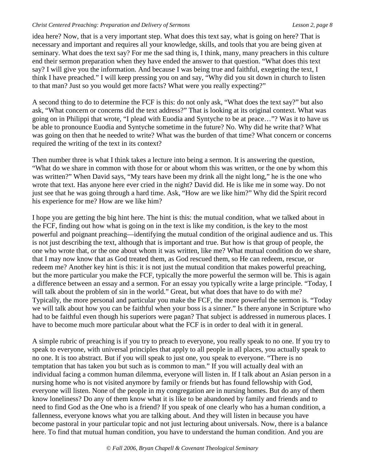idea here? Now, that is a very important step. What does this text say, what is going on here? That is necessary and important and requires all your knowledge, skills, and tools that you are being given at seminary. What does the text say? For me the sad thing is, I think, many, many preachers in this culture end their sermon preparation when they have ended the answer to that question. "What does this text say? I will give you the information. And because I was being true and faithful, exegeting the text, I think I have preached." I will keep pressing you on and say, "Why did you sit down in church to listen to that man? Just so you would get more facts? What were you really expecting?"

A second thing to do to determine the FCF is this: do not only ask, "What does the text say?" but also ask, "What concern or concerns did the text address?" That is looking at its original context. What was going on in Philippi that wrote, "I plead with Euodia and Syntyche to be at peace…"? Was it to have us be able to pronounce Euodia and Syntyche sometime in the future? No. Why did he write that? What was going on then that he needed to write? What was the burden of that time? What concern or concerns required the writing of the text in its context?

Then number three is what I think takes a lecture into being a sermon. It is answering the question, "What do we share in common with those for or about whom this was written, or the one by whom this was written?" When David says, "My tears have been my drink all the night long," he is the one who wrote that text. Has anyone here ever cried in the night? David did. He is like me in some way. Do not just see that he was going through a hard time. Ask, "How are we like him?" Why did the Spirit record his experience for me? How are we like him?

I hope you are getting the big hint here. The hint is this: the mutual condition, what we talked about in the FCF, finding out how what is going on in the text is like my condition, is the key to the most powerful and poignant preaching—identifying the mutual condition of the original audience and us. This is not just describing the text, although that is important and true. But how is that group of people, the one who wrote that, or the one about whom it was written, like me? What mutual condition do we share, that I may now know that as God treated them, as God rescued them, so He can redeem, rescue, or redeem me? Another key hint is this: it is not just the mutual condition that makes powerful preaching, but the more particular you make the FCF, typically the more powerful the sermon will be. This is again a difference between an essay and a sermon. For an essay you typically write a large principle. "Today, I will talk about the problem of sin in the world." Great, but what does that have to do with me? Typically, the more personal and particular you make the FCF, the more powerful the sermon is. "Today we will talk about how you can be faithful when your boss is a sinner." Is there anyone in Scripture who had to be faithful even though his superiors were pagan? That subject is addressed in numerous places. I have to become much more particular about what the FCF is in order to deal with it in general.

A simple rubric of preaching is if you try to preach to everyone, you really speak to no one. If you try to speak to everyone, with universal principles that apply to all people in all places, you actually speak to no one. It is too abstract. But if you will speak to just one, you speak to everyone. "There is no temptation that has taken you but such as is common to man." If you will actually deal with an individual facing a common human dilemma, everyone will listen in. If I talk about an Asian person in a nursing home who is not visited anymore by family or friends but has found fellowship with God, everyone will listen. None of the people in my congregation are in nursing homes. But do any of them know loneliness? Do any of them know what it is like to be abandoned by family and friends and to need to find God as the One who is a friend? If you speak of one clearly who has a human condition, a fallenness, everyone knows what you are talking about. And they will listen in because you have become pastoral in your particular topic and not just lecturing about universals. Now, there is a balance here. To find that mutual human condition, you have to understand the human condition. And you are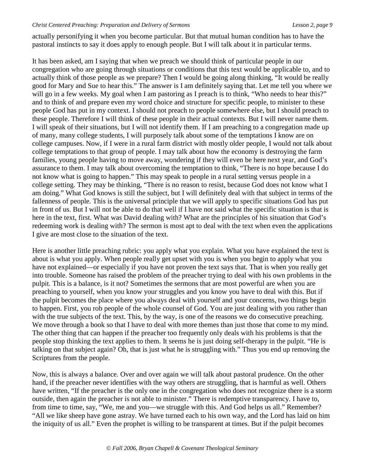actually personifying it when you become particular. But that mutual human condition has to have the pastoral instincts to say it does apply to enough people. But I will talk about it in particular terms.

It has been asked, am I saying that when we preach we should think of particular people in our congregation who are going through situations or conditions that this text would be applicable to, and to actually think of those people as we prepare? Then I would be going along thinking, "It would be really good for Mary and Sue to hear this." The answer is I am definitely saying that. Let me tell you where we will go in a few weeks. My goal when I am pastoring as I preach is to think, "Who needs to hear this?" and to think of and prepare even my word choice and structure for specific people, to minister to these people God has put in my context. I should not preach to people somewhere else, but I should preach to these people. Therefore I will think of these people in their actual contexts. But I will never name them. I will speak of their situations, but I will not identify them. If I am preaching to a congregation made up of many, many college students, I will purposely talk about some of the temptations I know are on college campuses. Now, if I were in a rural farm district with mostly older people, I would not talk about college temptations to that group of people. I may talk about how the economy is destroying the farm families, young people having to move away, wondering if they will even be here next year, and God's assurance to them. I may talk about overcoming the temptation to think, "There is no hope because I do not know what is going to happen." This may speak to people in a rural setting versus people in a college setting. They may be thinking, "There is no reason to resist, because God does not know what I am doing." What God knows is still the subject, but I will definitely deal with that subject in terms of the fallenness of people. This is the universal principle that we will apply to specific situations God has put in front of us. But I will not be able to do that well if I have not said what the specific situation is that is here in the text, first. What was David dealing with? What are the principles of his situation that God's redeeming work is dealing with? The sermon is most apt to deal with the text when even the applications I give are most close to the situation of the text.

Here is another little preaching rubric: you apply what you explain. What you have explained the text is about is what you apply. When people really get upset with you is when you begin to apply what you have not explained—or especially if you have not proven the text says that. That is when you really get into trouble. Someone has raised the problem of the preacher trying to deal with his own problems in the pulpit. This is a balance, is it not? Sometimes the sermons that are most powerful are when you are preaching to yourself, when you know your struggles and you know you have to deal with this. But if the pulpit becomes the place where you always deal with yourself and your concerns, two things begin to happen. First, you rob people of the whole counsel of God. You are just dealing with you rather than with the true subjects of the text. This, by the way, is one of the reasons we do consecutive preaching. We move through a book so that I have to deal with more themes than just those that come to my mind. The other thing that can happen if the preacher too frequently only deals with his problems is that the people stop thinking the text applies to them. It seems he is just doing self-therapy in the pulpit. "He is talking on that subject again? Oh, that is just what he is struggling with." Thus you end up removing the Scriptures from the people.

Now, this is always a balance. Over and over again we will talk about pastoral prudence. On the other hand, if the preacher never identifies with the way others are struggling, that is harmful as well. Others have written, "If the preacher is the only one in the congregation who does not recognize there is a storm outside, then again the preacher is not able to minister." There is redemptive transparency. I have to, from time to time, say, "We, me and you—we struggle with this. And God helps us all." Remember? "All we like sheep have gone astray. We have turned each to his own way, and the Lord has laid on him the iniquity of us all." Even the prophet is willing to be transparent at times. But if the pulpit becomes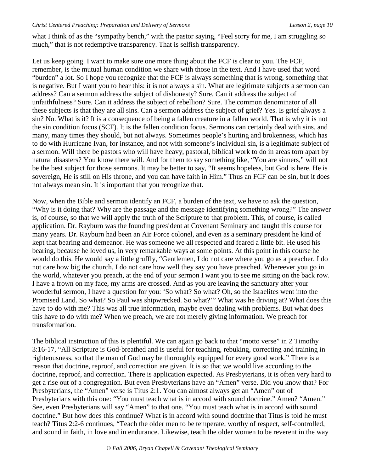what I think of as the "sympathy bench," with the pastor saying, "Feel sorry for me, I am struggling so much," that is not redemptive transparency. That is selfish transparency.

Let us keep going. I want to make sure one more thing about the FCF is clear to you. The FCF, remember, is the mutual human condition we share with those in the text. And I have used that word "burden" a lot. So I hope you recognize that the FCF is always something that is wrong, something that is negative. But I want you to hear this: it is not always a sin. What are legitimate subjects a sermon can address? Can a sermon address the subject of dishonesty? Sure. Can it address the subject of unfaithfulness? Sure. Can it address the subject of rebellion? Sure. The common denominator of all these subjects is that they are all sins. Can a sermon address the subject of grief? Yes. Is grief always a sin? No. What is it? It is a consequence of being a fallen creature in a fallen world. That is why it is not the sin condition focus (SCF). It is the fallen condition focus. Sermons can certainly deal with sins, and many, many times they should, but not always. Sometimes people's hurting and brokenness, which has to do with Hurricane Ivan, for instance, and not with someone's individual sin, is a legitimate subject of a sermon. Will there be pastors who will have heavy, pastoral, biblical work to do in areas torn apart by natural disasters? You know there will. And for them to say something like, "You are sinners," will not be the best subject for those sermons. It may be better to say, "It seems hopeless, but God is here. He is sovereign, He is still on His throne, and you can have faith in Him." Thus an FCF can be sin, but it does not always mean sin. It is important that you recognize that.

Now, when the Bible and sermon identify an FCF, a burden of the text, we have to ask the question, "Why is it doing that? Why are the passage and the message identifying something wrong?" The answer is, of course, so that we will apply the truth of the Scripture to that problem. This, of course, is called application. Dr. Rayburn was the founding president at Covenant Seminary and taught this course for many years. Dr. Rayburn had been an Air Force colonel, and even as a seminary president he kind of kept that bearing and demeanor. He was someone we all respected and feared a little bit. He used his bearing, because he loved us, in very remarkable ways at some points. At this point in this course he would do this. He would say a little gruffly, "Gentlemen, I do not care where you go as a preacher. I do not care how big the church. I do not care how well they say you have preached. Whereever you go in the world, whatever you preach, at the end of your sermon I want you to see me sitting on the back row. I have a frown on my face, my arms are crossed. And as you are leaving the sanctuary after your wonderful sermon, I have a question for you: 'So what? So what? Oh, so the Israelites went into the Promised Land. So what? So Paul was shipwrecked. So what?'" What was he driving at? What does this have to do with me? This was all true information, maybe even dealing with problems. But what does this have to do with me? When we preach, we are not merely giving information. We preach for transformation.

The biblical instruction of this is plentiful. We can again go back to that "motto verse" in 2 Timothy 3:16-17, "All Scripture is God-breathed and is useful for teaching, rebuking, correcting and training in righteousness, so that the man of God may be thoroughly equipped for every good work." There is a reason that doctrine, reproof, and correction are given. It is so that we would live according to the doctrine, reproof, and correction. There is application expected. As Presbyterians, it is often very hard to get a rise out of a congregation. But even Presbyterians have an "Amen" verse. Did you know that? For Presbyterians, the "Amen" verse is Titus 2:1. You can almost always get an "Amen" out of Presbyterians with this one: "You must teach what is in accord with sound doctrine." Amen? "Amen." See, even Presbyterians will say "Amen" to that one. "You must teach what is in accord with sound doctrine." But how does this continue? What is in accord with sound doctrine that Titus is told he must teach? Titus 2:2-6 continues, "Teach the older men to be temperate, worthy of respect, self-controlled, and sound in faith, in love and in endurance. Likewise, teach the older women to be reverent in the way